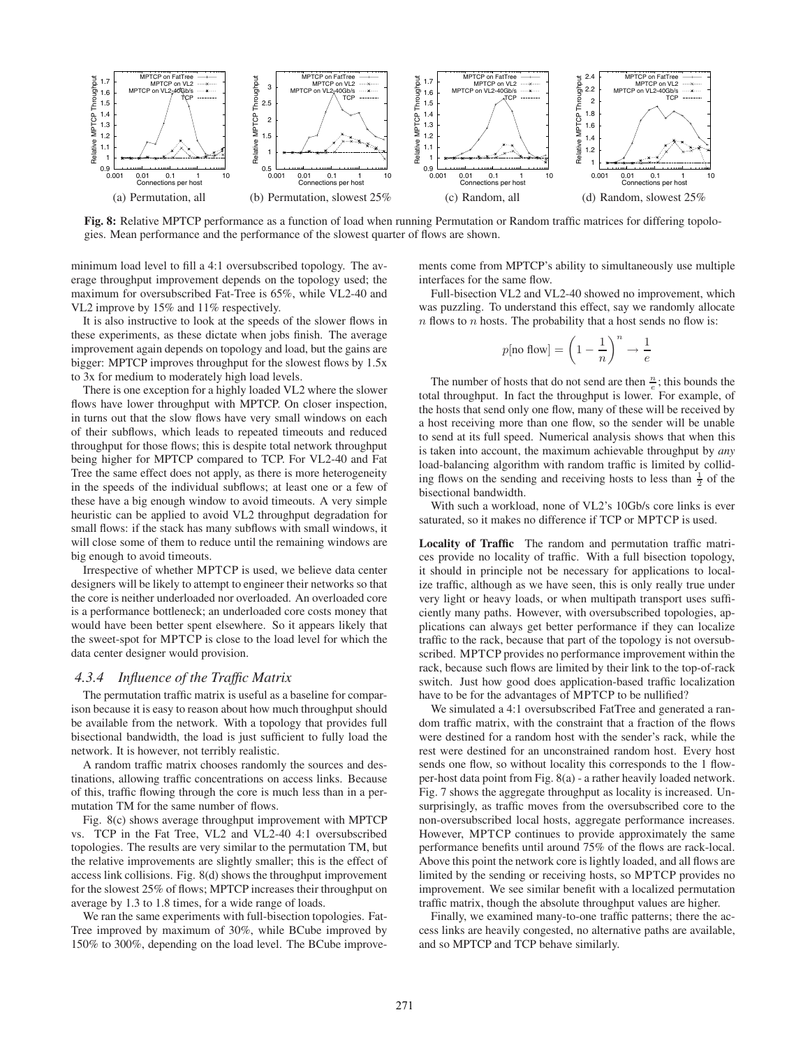

**Fig. 8:** Relative MPTCP performance as a function of load when running Permutation or Random traffic matrices for differing topologies. Mean performance and the performance of the slowest quarter of flows are shown.

minimum load level to fill a 4:1 oversubscribed topology. The average throughput improvement depends on the topology used; the maximum for oversubscribed Fat-Tree is 65%, while VL2-40 and VL2 improve by 15% and 11% respectively.

It is also instructive to look at the speeds of the slower flows in these experiments, as these dictate when jobs finish. The average improvement again depends on topology and load, but the gains are bigger: MPTCP improves throughput for the slowest flows by 1.5x to 3x for medium to moderately high load levels.

There is one exception for a highly loaded VL2 where the slower flows have lower throughput with MPTCP. On closer inspection, in turns out that the slow flows have very small windows on each of their subflows, which leads to repeated timeouts and reduced throughput for those flows; this is despite total network throughput being higher for MPTCP compared to TCP. For VL2-40 and Fat Tree the same effect does not apply, as there is more heterogeneity in the speeds of the individual subflows; at least one or a few of these have a big enough window to avoid timeouts. A very simple heuristic can be applied to avoid VL2 throughput degradation for small flows: if the stack has many subflows with small windows, it will close some of them to reduce until the remaining windows are big enough to avoid timeouts.

Irrespective of whether MPTCP is used, we believe data center designers will be likely to attempt to engineer their networks so that the core is neither underloaded nor overloaded. An overloaded core is a performance bottleneck; an underloaded core costs money that would have been better spent elsewhere. So it appears likely that the sweet-spot for MPTCP is close to the load level for which the data center designer would provision.

#### *4.3.4 Influence of the Traffic Matrix*

The permutation traffic matrix is useful as a baseline for comparison because it is easy to reason about how much throughput should be available from the network. With a topology that provides full bisectional bandwidth, the load is just sufficient to fully load the network. It is however, not terribly realistic.

A random traffic matrix chooses randomly the sources and destinations, allowing traffic concentrations on access links. Because of this, traffic flowing through the core is much less than in a permutation TM for the same number of flows.

Fig. 8(c) shows average throughput improvement with MPTCP vs. TCP in the Fat Tree, VL2 and VL2-40 4:1 oversubscribed topologies. The results are very similar to the permutation TM, but the relative improvements are slightly smaller; this is the effect of access link collisions. Fig. 8(d) shows the throughput improvement for the slowest 25% of flows; MPTCP increases their throughput on average by 1.3 to 1.8 times, for a wide range of loads.

We ran the same experiments with full-bisection topologies. Fat-Tree improved by maximum of 30%, while BCube improved by 150% to 300%, depending on the load level. The BCube improvements come from MPTCP's ability to simultaneously use multiple interfaces for the same flow.

Full-bisection VL2 and VL2-40 showed no improvement, which was puzzling. To understand this effect, say we randomly allocate *n* flows to *n* hosts. The probability that a host sends no flow is:

$$
p[\text{no flow}] = \left(1 - \frac{1}{n}\right)^n \to \frac{1}{e}
$$

The number of hosts that do not send are then  $\frac{n}{e}$ ; this bounds the total throughput. In fact the throughput is lower. For example, of the hosts that send only one flow, many of these will be received by a host receiving more than one flow, so the sender will be unable to send at its full speed. Numerical analysis shows that when this is taken into account, the maximum achievable throughput by *any* load-balancing algorithm with random traffic is limited by colliding flows on the sending and receiving hosts to less than  $\frac{1}{2}$  of the bisectional bandwidth.

With such a workload, none of VL2's 10Gb/s core links is ever saturated, so it makes no difference if TCP or MPTCP is used.

**Locality of Traffic** The random and permutation traffic matrices provide no locality of traffic. With a full bisection topology, it should in principle not be necessary for applications to localize traffic, although as we have seen, this is only really true under very light or heavy loads, or when multipath transport uses sufficiently many paths. However, with oversubscribed topologies, applications can always get better performance if they can localize traffic to the rack, because that part of the topology is not oversubscribed. MPTCP provides no performance improvement within the rack, because such flows are limited by their link to the top-of-rack switch. Just how good does application-based traffic localization have to be for the advantages of MPTCP to be nullified?

We simulated a 4:1 oversubscribed FatTree and generated a random traffic matrix, with the constraint that a fraction of the flows were destined for a random host with the sender's rack, while the rest were destined for an unconstrained random host. Every host sends one flow, so without locality this corresponds to the 1 flowper-host data point from Fig. 8(a) - a rather heavily loaded network. Fig. 7 shows the aggregate throughput as locality is increased. Unsurprisingly, as traffic moves from the oversubscribed core to the non-oversubscribed local hosts, aggregate performance increases. However, MPTCP continues to provide approximately the same performance benefits until around 75% of the flows are rack-local. Above this point the network core is lightly loaded, and all flows are limited by the sending or receiving hosts, so MPTCP provides no improvement. We see similar benefit with a localized permutation traffic matrix, though the absolute throughput values are higher.

Finally, we examined many-to-one traffic patterns; there the access links are heavily congested, no alternative paths are available, and so MPTCP and TCP behave similarly.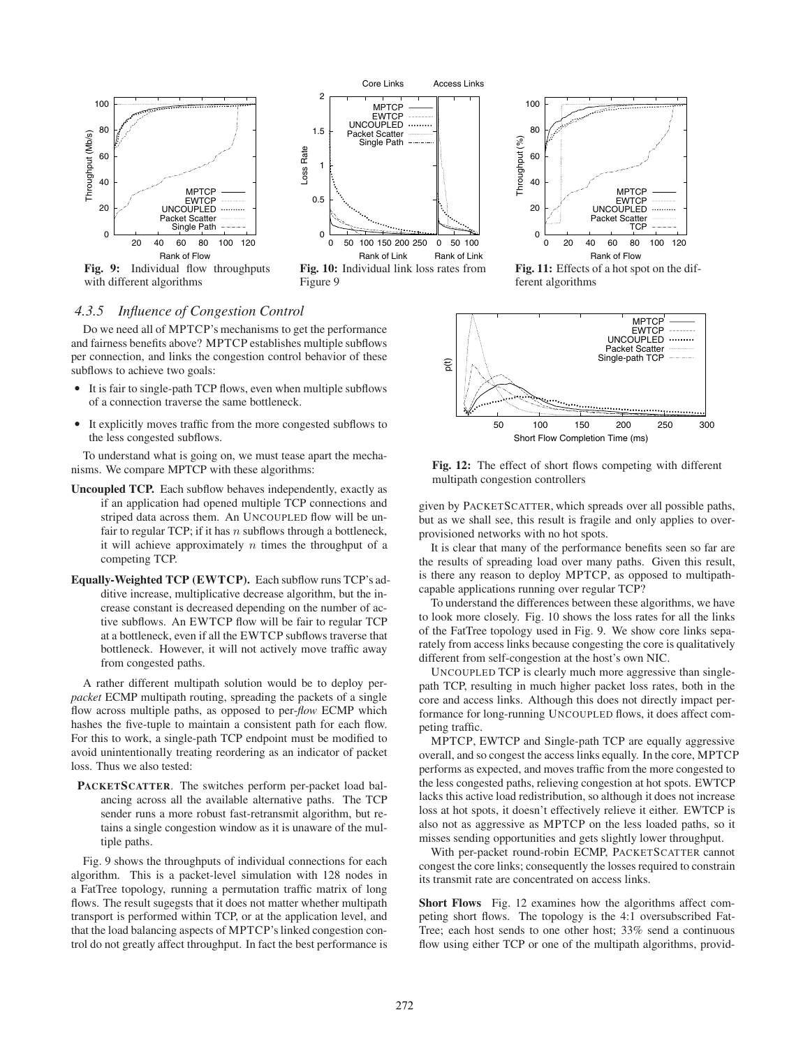

with different algorithms





**Fig. 11:** Effects of a hot spot on the different algorithms

#### *4.3.5 Influence of Congestion Control*

Do we need all of MPTCP's mechanisms to get the performance and fairness benefits above? MPTCP establishes multiple subflows per connection, and links the congestion control behavior of these subflows to achieve two goals:

- *•* It is fair to single-path TCP flows, even when multiple subflows of a connection traverse the same bottleneck.
- *•* It explicitly moves traffic from the more congested subflows to the less congested subflows.

To understand what is going on, we must tease apart the mechanisms. We compare MPTCP with these algorithms:

- **Uncoupled TCP.** Each subflow behaves independently, exactly as if an application had opened multiple TCP connections and striped data across them. An UNCOUPLED flow will be unfair to regular TCP; if it has *n* subflows through a bottleneck, it will achieve approximately *n* times the throughput of a competing TCP.
- **Equally-Weighted TCP (EWTCP).** Each subflow runs TCP's additive increase, multiplicative decrease algorithm, but the increase constant is decreased depending on the number of active subflows. An EWTCP flow will be fair to regular TCP at a bottleneck, even if all the EWTCP subflows traverse that bottleneck. However, it will not actively move traffic away from congested paths.

A rather different multipath solution would be to deploy per*packet* ECMP multipath routing, spreading the packets of a single flow across multiple paths, as opposed to per-*flow* ECMP which hashes the five-tuple to maintain a consistent path for each flow. For this to work, a single-path TCP endpoint must be modified to avoid unintentionally treating reordering as an indicator of packet loss. Thus we also tested:

**PACKETSCATTER**. The switches perform per-packet load balancing across all the available alternative paths. The TCP sender runs a more robust fast-retransmit algorithm, but retains a single congestion window as it is unaware of the multiple paths.

Fig. 9 shows the throughputs of individual connections for each algorithm. This is a packet-level simulation with 128 nodes in a FatTree topology, running a permutation traffic matrix of long flows. The result sugegsts that it does not matter whether multipath transport is performed within TCP, or at the application level, and that the load balancing aspects of MPTCP's linked congestion control do not greatly affect throughput. In fact the best performance is



**Fig. 12:** The effect of short flows competing with different multipath congestion controllers

given by PACKETSCATTER, which spreads over all possible paths, but as we shall see, this result is fragile and only applies to overprovisioned networks with no hot spots.

It is clear that many of the performance benefits seen so far are the results of spreading load over many paths. Given this result, is there any reason to deploy MPTCP, as opposed to multipathcapable applications running over regular TCP?

To understand the differences between these algorithms, we have to look more closely. Fig. 10 shows the loss rates for all the links of the FatTree topology used in Fig. 9. We show core links separately from access links because congesting the core is qualitatively different from self-congestion at the host's own NIC.

UNCOUPLED TCP is clearly much more aggressive than singlepath TCP, resulting in much higher packet loss rates, both in the core and access links. Although this does not directly impact performance for long-running UNCOUPLED flows, it does affect competing traffic.

MPTCP, EWTCP and Single-path TCP are equally aggressive overall, and so congest the access links equally. In the core, MPTCP performs as expected, and moves traffic from the more congested to the less congested paths, relieving congestion at hot spots. EWTCP lacks this active load redistribution, so although it does not increase loss at hot spots, it doesn't effectively relieve it either. EWTCP is also not as aggressive as MPTCP on the less loaded paths, so it misses sending opportunities and gets slightly lower throughput.

With per-packet round-robin ECMP, PACKETSCATTER cannot congest the core links; consequently the losses required to constrain its transmit rate are concentrated on access links.

**Short Flows** Fig. 12 examines how the algorithms affect competing short flows. The topology is the 4:1 oversubscribed Fat-Tree; each host sends to one other host; 33% send a continuous flow using either TCP or one of the multipath algorithms, provid-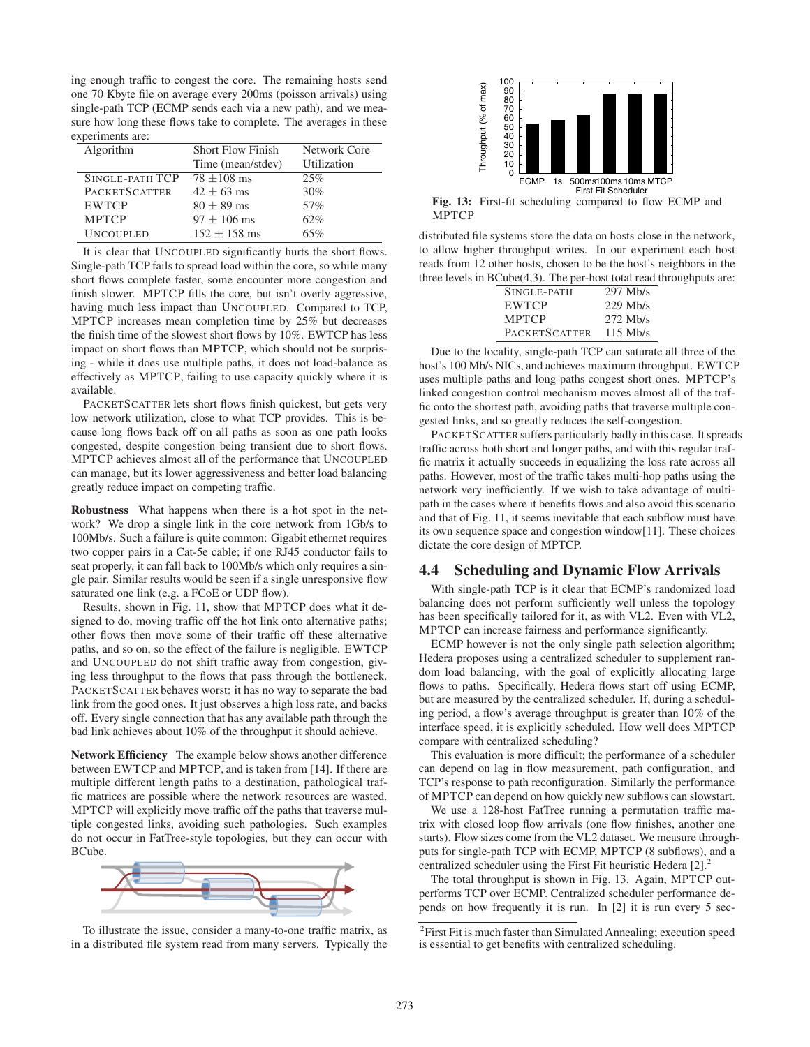ing enough traffic to congest the core. The remaining hosts send one 70 Kbyte file on average every 200ms (poisson arrivals) using single-path TCP (ECMP sends each via a new path), and we measure how long these flows take to complete. The averages in these experiments are:

| Algorithm            | <b>Short Flow Finish</b> | Network Core |
|----------------------|--------------------------|--------------|
|                      | Time (mean/stdev)        | Utilization  |
| SINGLE-PATH TCP      | $78 \pm 108$ ms          | 25%          |
| <b>PACKETSCATTER</b> | $42 + 63$ ms             | $30\%$       |
| <b>EWTCP</b>         | $80 \pm 89$ ms           | 57%          |
| <b>MPTCP</b>         | $97 \pm 106$ ms          | 62%          |
| <b>UNCOUPLED</b>     | $152 \pm 158$ ms         | 65%          |

It is clear that UNCOUPLED significantly hurts the short flows. Single-path TCP fails to spread load within the core, so while many short flows complete faster, some encounter more congestion and finish slower. MPTCP fills the core, but isn't overly aggressive, having much less impact than UNCOUPLED. Compared to TCP, MPTCP increases mean completion time by 25% but decreases the finish time of the slowest short flows by 10%. EWTCP has less impact on short flows than MPTCP, which should not be surprising - while it does use multiple paths, it does not load-balance as effectively as MPTCP, failing to use capacity quickly where it is available.

PACKETSCATTER lets short flows finish quickest, but gets very low network utilization, close to what TCP provides. This is because long flows back off on all paths as soon as one path looks congested, despite congestion being transient due to short flows. MPTCP achieves almost all of the performance that UNCOUPLED can manage, but its lower aggressiveness and better load balancing greatly reduce impact on competing traffic.

**Robustness** What happens when there is a hot spot in the network? We drop a single link in the core network from 1Gb/s to 100Mb/s. Such a failure is quite common: Gigabit ethernet requires two copper pairs in a Cat-5e cable; if one RJ45 conductor fails to seat properly, it can fall back to 100Mb/s which only requires a single pair. Similar results would be seen if a single unresponsive flow saturated one link (e.g. a FCoE or UDP flow).

Results, shown in Fig. 11, show that MPTCP does what it designed to do, moving traffic off the hot link onto alternative paths; other flows then move some of their traffic off these alternative paths, and so on, so the effect of the failure is negligible. EWTCP and UNCOUPLED do not shift traffic away from congestion, giving less throughput to the flows that pass through the bottleneck. PACKETSCATTER behaves worst: it has no way to separate the bad link from the good ones. It just observes a high loss rate, and backs off. Every single connection that has any available path through the bad link achieves about 10% of the throughput it should achieve.

**Network Efficiency** The example below shows another difference between EWTCP and MPTCP, and is taken from [14]. If there are multiple different length paths to a destination, pathological traffic matrices are possible where the network resources are wasted. MPTCP will explicitly move traffic off the paths that traverse multiple congested links, avoiding such pathologies. Such examples do not occur in FatTree-style topologies, but they can occur with BCube.



To illustrate the issue, consider a many-to-one traffic matrix, as in a distributed file system read from many servers. Typically the



**Fig. 13:** First-fit scheduling compared to flow ECMP and MPTCP

distributed file systems store the data on hosts close in the network, to allow higher throughput writes. In our experiment each host reads from 12 other hosts, chosen to be the host's neighbors in the three levels in BCube(4,3). The per-host total read throughputs are:

| SINGLE-PATH          | $297$ Mb/s |
|----------------------|------------|
| <b>EWTCP</b>         | $229$ Mb/s |
| <b>MPTCP</b>         | $272$ Mb/s |
| <b>PACKETSCATTER</b> | $115$ Mb/s |
|                      |            |

Due to the locality, single-path TCP can saturate all three of the host's 100 Mb/s NICs, and achieves maximum throughput. EWTCP uses multiple paths and long paths congest short ones. MPTCP's linked congestion control mechanism moves almost all of the traffic onto the shortest path, avoiding paths that traverse multiple congested links, and so greatly reduces the self-congestion.

PACKETSCATTER suffers particularly badly in this case. It spreads traffic across both short and longer paths, and with this regular traffic matrix it actually succeeds in equalizing the loss rate across all paths. However, most of the traffic takes multi-hop paths using the network very inefficiently. If we wish to take advantage of multipath in the cases where it benefits flows and also avoid this scenario and that of Fig. 11, it seems inevitable that each subflow must have its own sequence space and congestion window[11]. These choices dictate the core design of MPTCP.

## **4.4 Scheduling and Dynamic Flow Arrivals**

With single-path TCP is it clear that ECMP's randomized load balancing does not perform sufficiently well unless the topology has been specifically tailored for it, as with VL2. Even with VL2, MPTCP can increase fairness and performance significantly.

ECMP however is not the only single path selection algorithm; Hedera proposes using a centralized scheduler to supplement random load balancing, with the goal of explicitly allocating large flows to paths. Specifically, Hedera flows start off using ECMP, but are measured by the centralized scheduler. If, during a scheduling period, a flow's average throughput is greater than 10% of the interface speed, it is explicitly scheduled. How well does MPTCP compare with centralized scheduling?

This evaluation is more difficult; the performance of a scheduler can depend on lag in flow measurement, path configuration, and TCP's response to path reconfiguration. Similarly the performance of MPTCP can depend on how quickly new subflows can slowstart.

We use a 128-host FatTree running a permutation traffic matrix with closed loop flow arrivals (one flow finishes, another one starts). Flow sizes come from the VL2 dataset. We measure throughputs for single-path TCP with ECMP, MPTCP (8 subflows), and a centralized scheduler using the First Fit heuristic Hedera [2].<sup>2</sup>

The total throughput is shown in Fig. 13. Again, MPTCP outperforms TCP over ECMP. Centralized scheduler performance depends on how frequently it is run. In [2] it is run every 5 sec-

<sup>&</sup>lt;sup>2</sup>First Fit is much faster than Simulated Annealing; execution speed is essential to get benefits with centralized scheduling.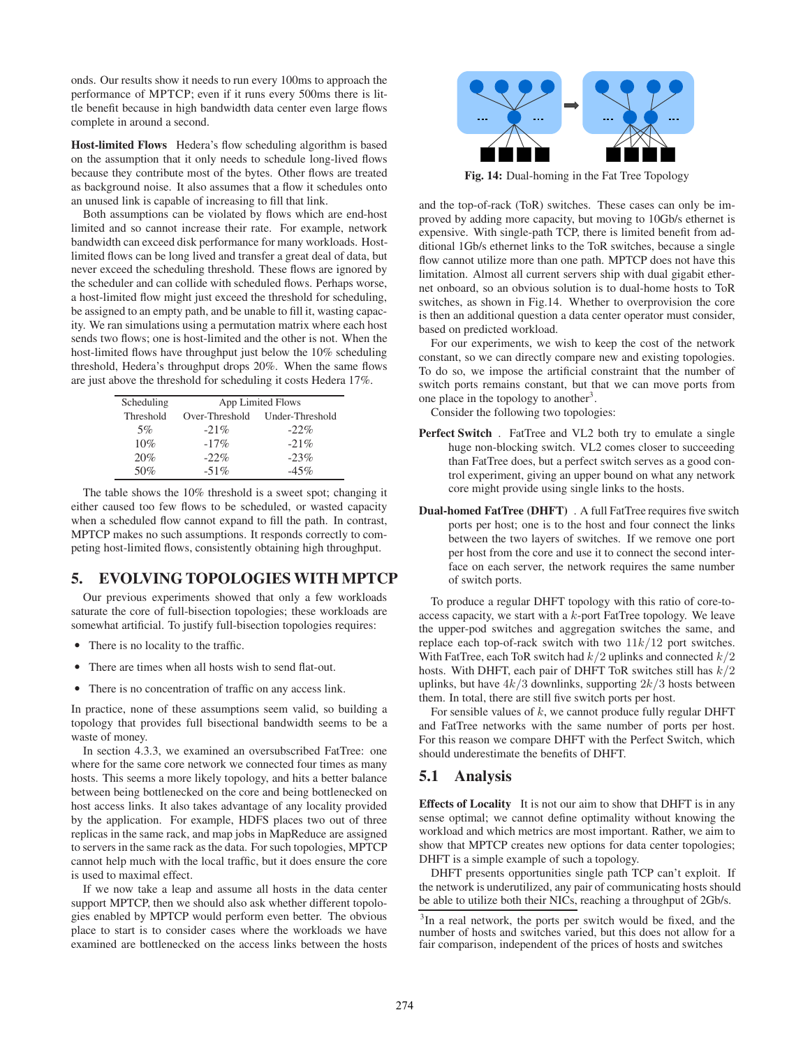onds. Our results show it needs to run every 100ms to approach the performance of MPTCP; even if it runs every 500ms there is little benefit because in high bandwidth data center even large flows complete in around a second.

**Host-limited Flows** Hedera's flow scheduling algorithm is based on the assumption that it only needs to schedule long-lived flows because they contribute most of the bytes. Other flows are treated as background noise. It also assumes that a flow it schedules onto an unused link is capable of increasing to fill that link.

Both assumptions can be violated by flows which are end-host limited and so cannot increase their rate. For example, network bandwidth can exceed disk performance for many workloads. Hostlimited flows can be long lived and transfer a great deal of data, but never exceed the scheduling threshold. These flows are ignored by the scheduler and can collide with scheduled flows. Perhaps worse, a host-limited flow might just exceed the threshold for scheduling, be assigned to an empty path, and be unable to fill it, wasting capacity. We ran simulations using a permutation matrix where each host sends two flows; one is host-limited and the other is not. When the host-limited flows have throughput just below the 10% scheduling threshold, Hedera's throughput drops 20%. When the same flows are just above the threshold for scheduling it costs Hedera 17%.

| Scheduling | App Limited Flows |                                |
|------------|-------------------|--------------------------------|
| Threshold  |                   | Over-Threshold Under-Threshold |
| 5%         | $-21\%$           | $-22\%$                        |
| 10%        | $-17%$            | $-21\%$                        |
| 20%        | $-22\%$           | $-23%$                         |
| 50%        | $-51\%$           | $-45%$                         |

The table shows the 10% threshold is a sweet spot; changing it either caused too few flows to be scheduled, or wasted capacity when a scheduled flow cannot expand to fill the path. In contrast, MPTCP makes no such assumptions. It responds correctly to competing host-limited flows, consistently obtaining high throughput.

# **5. EVOLVING TOPOLOGIES WITH MPTCP**

Our previous experiments showed that only a few workloads saturate the core of full-bisection topologies; these workloads are somewhat artificial. To justify full-bisection topologies requires:

- *•* There is no locality to the traffic.
- *•* There are times when all hosts wish to send flat-out.
- *•* There is no concentration of traffic on any access link.

In practice, none of these assumptions seem valid, so building a topology that provides full bisectional bandwidth seems to be a waste of money.

In section 4.3.3, we examined an oversubscribed FatTree: one where for the same core network we connected four times as many hosts. This seems a more likely topology, and hits a better balance between being bottlenecked on the core and being bottlenecked on host access links. It also takes advantage of any locality provided by the application. For example, HDFS places two out of three replicas in the same rack, and map jobs in MapReduce are assigned to servers in the same rack as the data. For such topologies, MPTCP cannot help much with the local traffic, but it does ensure the core is used to maximal effect.

If we now take a leap and assume all hosts in the data center support MPTCP, then we should also ask whether different topologies enabled by MPTCP would perform even better. The obvious place to start is to consider cases where the workloads we have examined are bottlenecked on the access links between the hosts



**Fig. 14:** Dual-homing in the Fat Tree Topology

and the top-of-rack (ToR) switches. These cases can only be improved by adding more capacity, but moving to 10Gb/s ethernet is expensive. With single-path TCP, there is limited benefit from additional 1Gb/s ethernet links to the ToR switches, because a single flow cannot utilize more than one path. MPTCP does not have this limitation. Almost all current servers ship with dual gigabit ethernet onboard, so an obvious solution is to dual-home hosts to ToR switches, as shown in Fig.14. Whether to overprovision the core is then an additional question a data center operator must consider, based on predicted workload.

For our experiments, we wish to keep the cost of the network constant, so we can directly compare new and existing topologies. To do so, we impose the artificial constraint that the number of switch ports remains constant, but that we can move ports from one place in the topology to another<sup>3</sup>.

Consider the following two topologies:

- **Perfect Switch** . FatTree and VL2 both try to emulate a single huge non-blocking switch. VL2 comes closer to succeeding than FatTree does, but a perfect switch serves as a good control experiment, giving an upper bound on what any network core might provide using single links to the hosts.
- **Dual-homed FatTree (DHFT)** . A full FatTree requires five switch ports per host; one is to the host and four connect the links between the two layers of switches. If we remove one port per host from the core and use it to connect the second interface on each server, the network requires the same number of switch ports.

To produce a regular DHFT topology with this ratio of core-toaccess capacity, we start with a *k*-port FatTree topology. We leave the upper-pod switches and aggregation switches the same, and replace each top-of-rack switch with two 11*k/*12 port switches. With FatTree, each ToR switch had *k/*2 uplinks and connected *k/*2 hosts. With DHFT, each pair of DHFT ToR switches still has *k/*2 uplinks, but have 4*k/*3 downlinks, supporting 2*k/*3 hosts between them. In total, there are still five switch ports per host.

For sensible values of *k*, we cannot produce fully regular DHFT and FatTree networks with the same number of ports per host. For this reason we compare DHFT with the Perfect Switch, which should underestimate the benefits of DHFT.

# **5.1 Analysis**

**Effects of Locality** It is not our aim to show that DHFT is in any sense optimal; we cannot define optimality without knowing the workload and which metrics are most important. Rather, we aim to show that MPTCP creates new options for data center topologies; DHFT is a simple example of such a topology.

DHFT presents opportunities single path TCP can't exploit. If the network is underutilized, any pair of communicating hosts should be able to utilize both their NICs, reaching a throughput of 2Gb/s.

<sup>&</sup>lt;sup>3</sup>In a real network, the ports per switch would be fixed, and the number of hosts and switches varied, but this does not allow for a fair comparison, independent of the prices of hosts and switches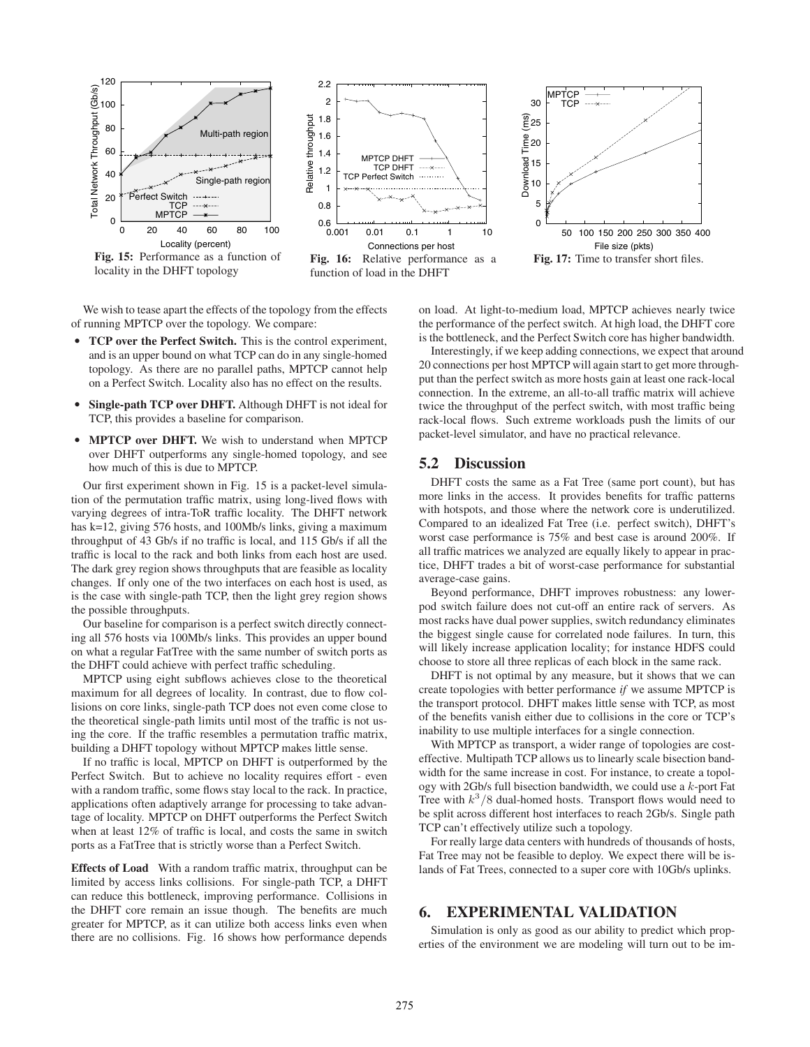







function of load in the DHFT

We wish to tease apart the effects of the topology from the effects of running MPTCP over the topology. We compare:

- *•* **TCP over the Perfect Switch.** This is the control experiment, and is an upper bound on what TCP can do in any single-homed topology. As there are no parallel paths, MPTCP cannot help on a Perfect Switch. Locality also has no effect on the results.
- *•* **Single-path TCP over DHFT.** Although DHFT is not ideal for TCP, this provides a baseline for comparison.
- *•* **MPTCP over DHFT.** We wish to understand when MPTCP over DHFT outperforms any single-homed topology, and see how much of this is due to MPTCP.

Our first experiment shown in Fig. 15 is a packet-level simulation of the permutation traffic matrix, using long-lived flows with varying degrees of intra-ToR traffic locality. The DHFT network has k=12, giving 576 hosts, and 100Mb/s links, giving a maximum throughput of 43 Gb/s if no traffic is local, and 115 Gb/s if all the traffic is local to the rack and both links from each host are used. The dark grey region shows throughputs that are feasible as locality changes. If only one of the two interfaces on each host is used, as is the case with single-path TCP, then the light grey region shows the possible throughputs.

Our baseline for comparison is a perfect switch directly connecting all 576 hosts via 100Mb/s links. This provides an upper bound on what a regular FatTree with the same number of switch ports as the DHFT could achieve with perfect traffic scheduling.

MPTCP using eight subflows achieves close to the theoretical maximum for all degrees of locality. In contrast, due to flow collisions on core links, single-path TCP does not even come close to the theoretical single-path limits until most of the traffic is not using the core. If the traffic resembles a permutation traffic matrix, building a DHFT topology without MPTCP makes little sense.

If no traffic is local, MPTCP on DHFT is outperformed by the Perfect Switch. But to achieve no locality requires effort - even with a random traffic, some flows stay local to the rack. In practice, applications often adaptively arrange for processing to take advantage of locality. MPTCP on DHFT outperforms the Perfect Switch when at least 12% of traffic is local, and costs the same in switch ports as a FatTree that is strictly worse than a Perfect Switch.

**Effects of Load** With a random traffic matrix, throughput can be limited by access links collisions. For single-path TCP, a DHFT can reduce this bottleneck, improving performance. Collisions in the DHFT core remain an issue though. The benefits are much greater for MPTCP, as it can utilize both access links even when there are no collisions. Fig. 16 shows how performance depends on load. At light-to-medium load, MPTCP achieves nearly twice the performance of the perfect switch. At high load, the DHFT core is the bottleneck, and the Perfect Switch core has higher bandwidth.

Interestingly, if we keep adding connections, we expect that around 20 connections per host MPTCP will again start to get more throughput than the perfect switch as more hosts gain at least one rack-local connection. In the extreme, an all-to-all traffic matrix will achieve twice the throughput of the perfect switch, with most traffic being rack-local flows. Such extreme workloads push the limits of our packet-level simulator, and have no practical relevance.

## **5.2 Discussion**

DHFT costs the same as a Fat Tree (same port count), but has more links in the access. It provides benefits for traffic patterns with hotspots, and those where the network core is underutilized. Compared to an idealized Fat Tree (i.e. perfect switch), DHFT's worst case performance is 75% and best case is around 200%. If all traffic matrices we analyzed are equally likely to appear in practice, DHFT trades a bit of worst-case performance for substantial average-case gains.

Beyond performance, DHFT improves robustness: any lowerpod switch failure does not cut-off an entire rack of servers. As most racks have dual power supplies, switch redundancy eliminates the biggest single cause for correlated node failures. In turn, this will likely increase application locality; for instance HDFS could choose to store all three replicas of each block in the same rack.

DHFT is not optimal by any measure, but it shows that we can create topologies with better performance *if* we assume MPTCP is the transport protocol. DHFT makes little sense with TCP, as most of the benefits vanish either due to collisions in the core or TCP's inability to use multiple interfaces for a single connection.

With MPTCP as transport, a wider range of topologies are costeffective. Multipath TCP allows us to linearly scale bisection bandwidth for the same increase in cost. For instance, to create a topology with 2Gb/s full bisection bandwidth, we could use a *k*-port Fat Tree with *k*<sup>3</sup>*/*8 dual-homed hosts. Transport flows would need to be split across different host interfaces to reach 2Gb/s. Single path TCP can't effectively utilize such a topology.

For really large data centers with hundreds of thousands of hosts, Fat Tree may not be feasible to deploy. We expect there will be islands of Fat Trees, connected to a super core with 10Gb/s uplinks.

# **6. EXPERIMENTAL VALIDATION**

Simulation is only as good as our ability to predict which properties of the environment we are modeling will turn out to be im-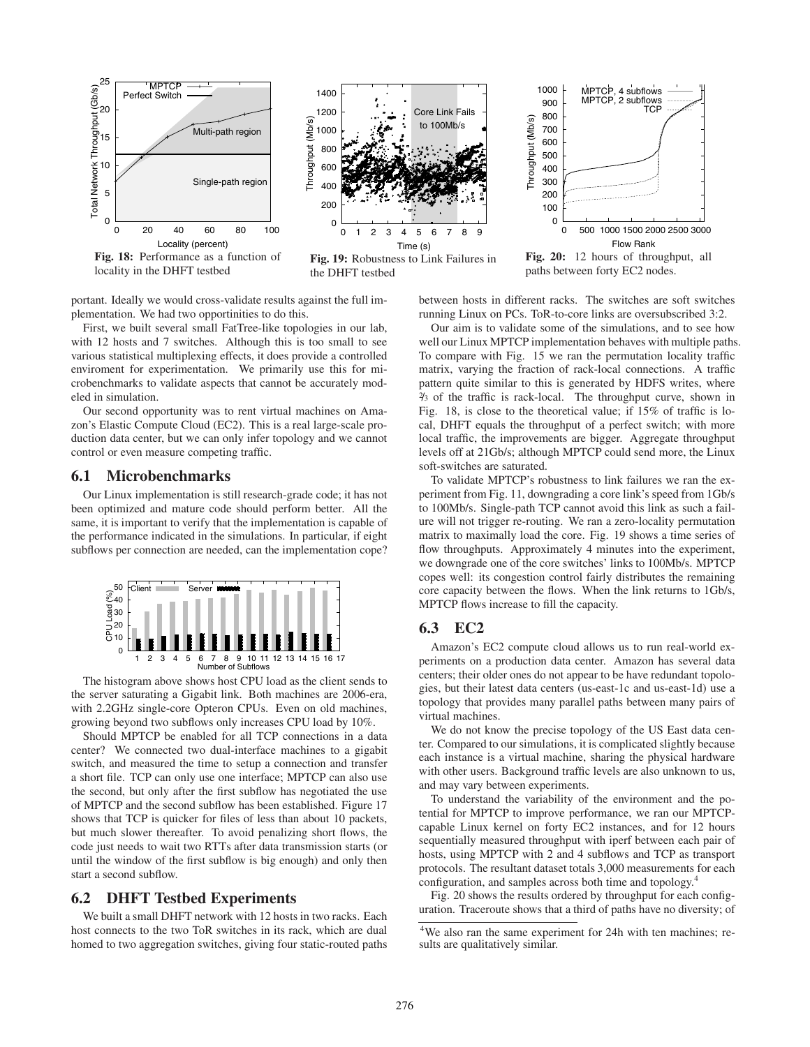





paths between forty EC2 nodes.

portant. Ideally we would cross-validate results against the full implementation. We had two opportinities to do this.

First, we built several small FatTree-like topologies in our lab, with 12 hosts and 7 switches. Although this is too small to see various statistical multiplexing effects, it does provide a controlled enviroment for experimentation. We primarily use this for microbenchmarks to validate aspects that cannot be accurately modeled in simulation.

Our second opportunity was to rent virtual machines on Amazon's Elastic Compute Cloud (EC2). This is a real large-scale production data center, but we can only infer topology and we cannot control or even measure competing traffic.

#### **6.1 Microbenchmarks**

Our Linux implementation is still research-grade code; it has not been optimized and mature code should perform better. All the same, it is important to verify that the implementation is capable of the performance indicated in the simulations. In particular, if eight subflows per connection are needed, can the implementation cope?



The histogram above shows host CPU load as the client sends to the server saturating a Gigabit link. Both machines are 2006-era, with 2.2GHz single-core Opteron CPUs. Even on old machines, growing beyond two subflows only increases CPU load by 10%.

Should MPTCP be enabled for all TCP connections in a data center? We connected two dual-interface machines to a gigabit switch, and measured the time to setup a connection and transfer a short file. TCP can only use one interface; MPTCP can also use the second, but only after the first subflow has negotiated the use of MPTCP and the second subflow has been established. Figure 17 shows that TCP is quicker for files of less than about 10 packets, but much slower thereafter. To avoid penalizing short flows, the code just needs to wait two RTTs after data transmission starts (or until the window of the first subflow is big enough) and only then start a second subflow.

# **6.2 DHFT Testbed Experiments**

We built a small DHFT network with 12 hosts in two racks. Each host connects to the two ToR switches in its rack, which are dual homed to two aggregation switches, giving four static-routed paths between hosts in different racks. The switches are soft switches running Linux on PCs. ToR-to-core links are oversubscribed 3:2.

Our aim is to validate some of the simulations, and to see how well our Linux MPTCP implementation behaves with multiple paths. To compare with Fig. 15 we ran the permutation locality traffic matrix, varying the fraction of rack-local connections. A traffic pattern quite similar to this is generated by HDFS writes, where 2/3 of the traffic is rack-local. The throughput curve, shown in Fig. 18, is close to the theoretical value; if 15% of traffic is local, DHFT equals the throughput of a perfect switch; with more local traffic, the improvements are bigger. Aggregate throughput levels off at 21Gb/s; although MPTCP could send more, the Linux soft-switches are saturated.

To validate MPTCP's robustness to link failures we ran the experiment from Fig. 11, downgrading a core link's speed from 1Gb/s to 100Mb/s. Single-path TCP cannot avoid this link as such a failure will not trigger re-routing. We ran a zero-locality permutation matrix to maximally load the core. Fig. 19 shows a time series of flow throughputs. Approximately 4 minutes into the experiment, we downgrade one of the core switches' links to 100Mb/s. MPTCP copes well: its congestion control fairly distributes the remaining core capacity between the flows. When the link returns to 1Gb/s, MPTCP flows increase to fill the capacity.

## **6.3 EC2**

Amazon's EC2 compute cloud allows us to run real-world experiments on a production data center. Amazon has several data centers; their older ones do not appear to be have redundant topologies, but their latest data centers (us-east-1c and us-east-1d) use a topology that provides many parallel paths between many pairs of virtual machines.

We do not know the precise topology of the US East data center. Compared to our simulations, it is complicated slightly because each instance is a virtual machine, sharing the physical hardware with other users. Background traffic levels are also unknown to us, and may vary between experiments.

To understand the variability of the environment and the potential for MPTCP to improve performance, we ran our MPTCPcapable Linux kernel on forty EC2 instances, and for 12 hours sequentially measured throughput with iperf between each pair of hosts, using MPTCP with 2 and 4 subflows and TCP as transport protocols. The resultant dataset totals 3,000 measurements for each configuration, and samples across both time and topology.<sup>4</sup>

Fig. 20 shows the results ordered by throughput for each configuration. Traceroute shows that a third of paths have no diversity; of

<sup>&</sup>lt;sup>4</sup>We also ran the same experiment for 24h with ten machines; results are qualitatively similar.